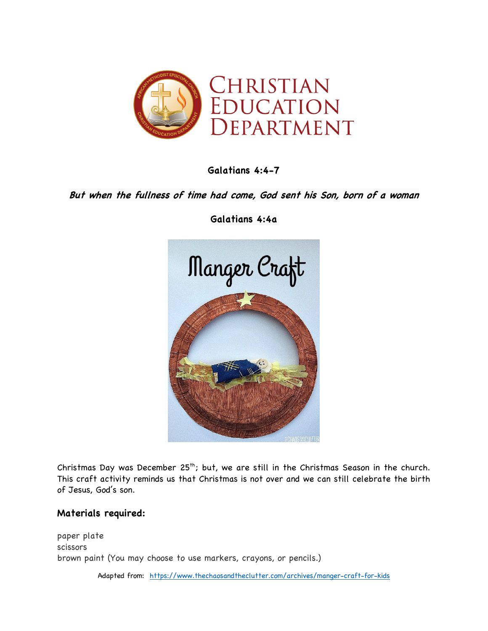

**Galatians 4:4-7**

## **But when the fullness of time had come, God sent his Son, born of a woman**



**Galatians 4:4a**

Christmas Day was December  $25<sup>th</sup>$ ; but, we are still in the Christmas Season in the church. This craft activity reminds us that Christmas is not over and we can still celebrate the birth of Jesus, God's son.

## **Materials required:**

paper plate scissors brown paint (You may choose to use markers, crayons, or pencils.)

Adapted from: https://www.thechaosandtheclutter.com/archives/manger-craft-for-kids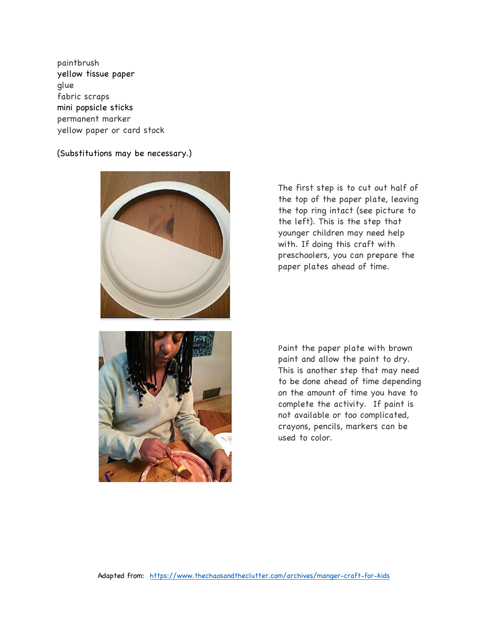paintbrush yellow tissue paper glue fabric scraps mini popsicle sticks permanent marker yellow paper or card stock

## (Substitutions may be necessary.)



The first step is to cut out half of the top of the paper plate, leaving the top ring intact (see picture to the left). This is the step that younger children may need help with. If doing this craft with preschoolers, you can prepare the paper plates ahead of time.

Paint the paper plate with brown paint and allow the paint to dry. This is another step that may need to be done ahead of time depending on the amount of time you have to complete the activity. If paint is not available or too complicated, crayons, pencils, markers can be used to color.